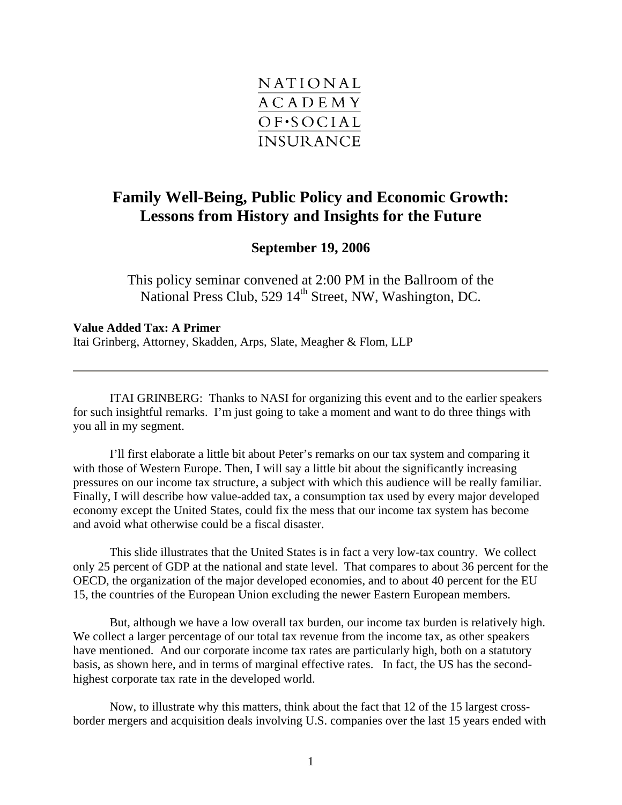

## **Family Well-Being, Public Policy and Economic Growth: Lessons from History and Insights for the Future**

## **September 19, 2006**

This policy seminar convened at 2:00 PM in the Ballroom of the National Press Club, 529 14<sup>th</sup> Street, NW, Washington, DC.

**Value Added Tax: A Primer**  Itai Grinberg, Attorney, Skadden, Arps, Slate, Meagher & Flom, LLP

ITAI GRINBERG: Thanks to NASI for organizing this event and to the earlier speakers for such insightful remarks. I'm just going to take a moment and want to do three things with you all in my segment.

I'll first elaborate a little bit about Peter's remarks on our tax system and comparing it with those of Western Europe. Then, I will say a little bit about the significantly increasing pressures on our income tax structure, a subject with which this audience will be really familiar. Finally, I will describe how value-added tax, a consumption tax used by every major developed economy except the United States, could fix the mess that our income tax system has become and avoid what otherwise could be a fiscal disaster.

This slide illustrates that the United States is in fact a very low-tax country. We collect only 25 percent of GDP at the national and state level. That compares to about 36 percent for the OECD, the organization of the major developed economies, and to about 40 percent for the EU 15, the countries of the European Union excluding the newer Eastern European members.

But, although we have a low overall tax burden, our income tax burden is relatively high. We collect a larger percentage of our total tax revenue from the income tax, as other speakers have mentioned. And our corporate income tax rates are particularly high, both on a statutory basis, as shown here, and in terms of marginal effective rates. In fact, the US has the secondhighest corporate tax rate in the developed world.

Now, to illustrate why this matters, think about the fact that 12 of the 15 largest crossborder mergers and acquisition deals involving U.S. companies over the last 15 years ended with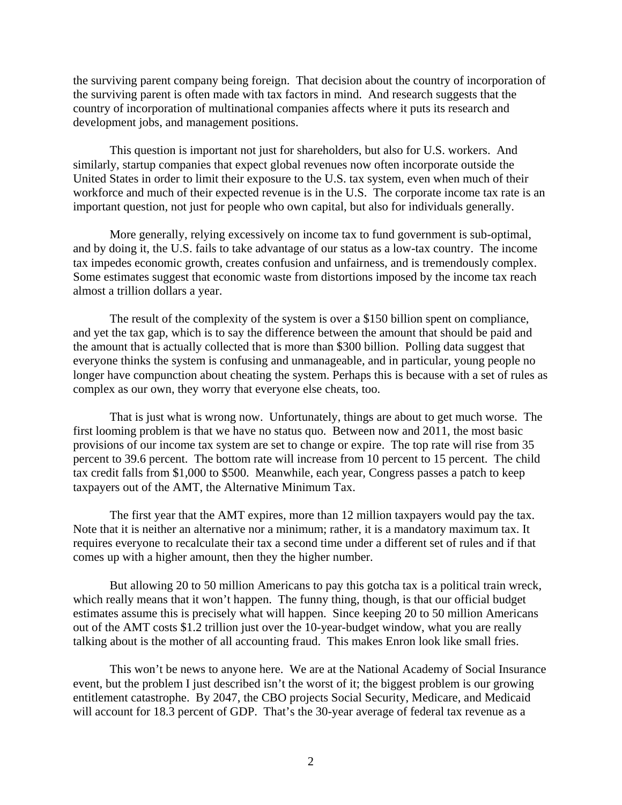the surviving parent company being foreign. That decision about the country of incorporation of the surviving parent is often made with tax factors in mind. And research suggests that the country of incorporation of multinational companies affects where it puts its research and development jobs, and management positions.

This question is important not just for shareholders, but also for U.S. workers. And similarly, startup companies that expect global revenues now often incorporate outside the United States in order to limit their exposure to the U.S. tax system, even when much of their workforce and much of their expected revenue is in the U.S. The corporate income tax rate is an important question, not just for people who own capital, but also for individuals generally.

More generally, relying excessively on income tax to fund government is sub-optimal, and by doing it, the U.S. fails to take advantage of our status as a low-tax country. The income tax impedes economic growth, creates confusion and unfairness, and is tremendously complex. Some estimates suggest that economic waste from distortions imposed by the income tax reach almost a trillion dollars a year.

The result of the complexity of the system is over a \$150 billion spent on compliance, and yet the tax gap, which is to say the difference between the amount that should be paid and the amount that is actually collected that is more than \$300 billion. Polling data suggest that everyone thinks the system is confusing and unmanageable, and in particular, young people no longer have compunction about cheating the system. Perhaps this is because with a set of rules as complex as our own, they worry that everyone else cheats, too.

That is just what is wrong now. Unfortunately, things are about to get much worse. The first looming problem is that we have no status quo. Between now and 2011, the most basic provisions of our income tax system are set to change or expire. The top rate will rise from 35 percent to 39.6 percent. The bottom rate will increase from 10 percent to 15 percent. The child tax credit falls from \$1,000 to \$500. Meanwhile, each year, Congress passes a patch to keep taxpayers out of the AMT, the Alternative Minimum Tax.

The first year that the AMT expires, more than 12 million taxpayers would pay the tax. Note that it is neither an alternative nor a minimum; rather, it is a mandatory maximum tax. It requires everyone to recalculate their tax a second time under a different set of rules and if that comes up with a higher amount, then they the higher number.

But allowing 20 to 50 million Americans to pay this gotcha tax is a political train wreck, which really means that it won't happen. The funny thing, though, is that our official budget estimates assume this is precisely what will happen. Since keeping 20 to 50 million Americans out of the AMT costs \$1.2 trillion just over the 10-year-budget window, what you are really talking about is the mother of all accounting fraud. This makes Enron look like small fries.

This won't be news to anyone here. We are at the National Academy of Social Insurance event, but the problem I just described isn't the worst of it; the biggest problem is our growing entitlement catastrophe. By 2047, the CBO projects Social Security, Medicare, and Medicaid will account for 18.3 percent of GDP. That's the 30-year average of federal tax revenue as a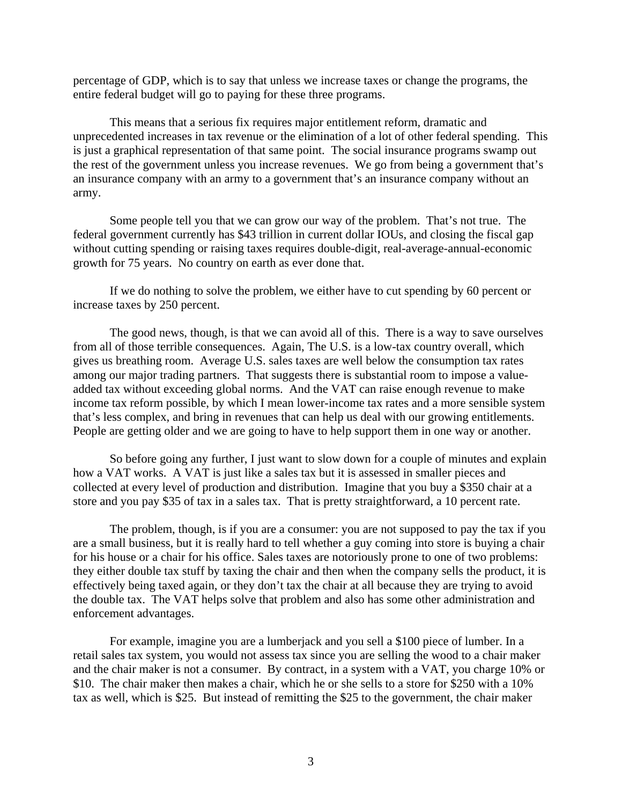percentage of GDP, which is to say that unless we increase taxes or change the programs, the entire federal budget will go to paying for these three programs.

This means that a serious fix requires major entitlement reform, dramatic and unprecedented increases in tax revenue or the elimination of a lot of other federal spending. This is just a graphical representation of that same point. The social insurance programs swamp out the rest of the government unless you increase revenues. We go from being a government that's an insurance company with an army to a government that's an insurance company without an army.

Some people tell you that we can grow our way of the problem. That's not true. The federal government currently has \$43 trillion in current dollar IOUs, and closing the fiscal gap without cutting spending or raising taxes requires double-digit, real-average-annual-economic growth for 75 years. No country on earth as ever done that.

If we do nothing to solve the problem, we either have to cut spending by 60 percent or increase taxes by 250 percent.

The good news, though, is that we can avoid all of this. There is a way to save ourselves from all of those terrible consequences. Again, The U.S. is a low-tax country overall, which gives us breathing room. Average U.S. sales taxes are well below the consumption tax rates among our major trading partners. That suggests there is substantial room to impose a valueadded tax without exceeding global norms. And the VAT can raise enough revenue to make income tax reform possible, by which I mean lower-income tax rates and a more sensible system that's less complex, and bring in revenues that can help us deal with our growing entitlements. People are getting older and we are going to have to help support them in one way or another.

So before going any further, I just want to slow down for a couple of minutes and explain how a VAT works. A VAT is just like a sales tax but it is assessed in smaller pieces and collected at every level of production and distribution. Imagine that you buy a \$350 chair at a store and you pay \$35 of tax in a sales tax. That is pretty straightforward, a 10 percent rate.

The problem, though, is if you are a consumer: you are not supposed to pay the tax if you are a small business, but it is really hard to tell whether a guy coming into store is buying a chair for his house or a chair for his office. Sales taxes are notoriously prone to one of two problems: they either double tax stuff by taxing the chair and then when the company sells the product, it is effectively being taxed again, or they don't tax the chair at all because they are trying to avoid the double tax. The VAT helps solve that problem and also has some other administration and enforcement advantages.

For example, imagine you are a lumberjack and you sell a \$100 piece of lumber. In a retail sales tax system, you would not assess tax since you are selling the wood to a chair maker and the chair maker is not a consumer. By contract, in a system with a VAT, you charge 10% or \$10. The chair maker then makes a chair, which he or she sells to a store for \$250 with a 10% tax as well, which is \$25. But instead of remitting the \$25 to the government, the chair maker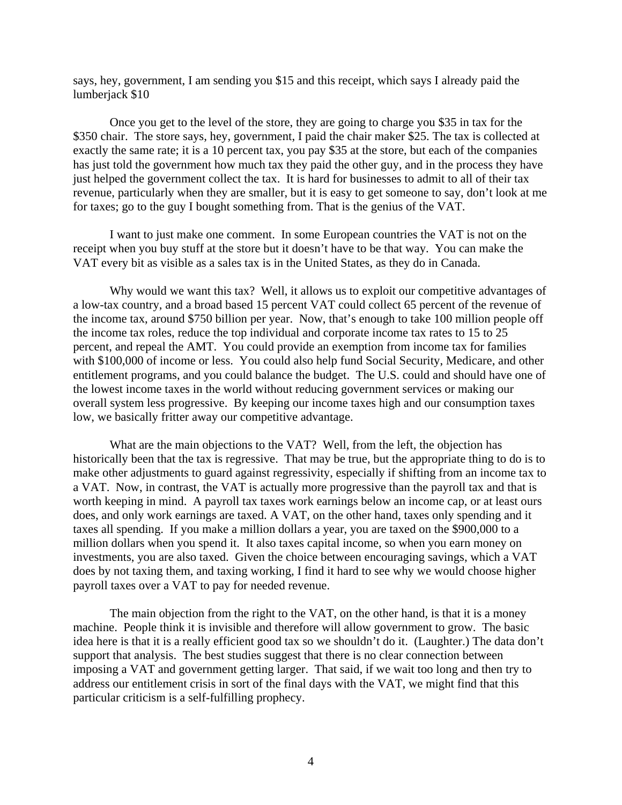says, hey, government, I am sending you \$15 and this receipt, which says I already paid the lumberjack \$10

Once you get to the level of the store, they are going to charge you \$35 in tax for the \$350 chair. The store says, hey, government, I paid the chair maker \$25. The tax is collected at exactly the same rate; it is a 10 percent tax, you pay \$35 at the store, but each of the companies has just told the government how much tax they paid the other guy, and in the process they have just helped the government collect the tax. It is hard for businesses to admit to all of their tax revenue, particularly when they are smaller, but it is easy to get someone to say, don't look at me for taxes; go to the guy I bought something from. That is the genius of the VAT.

I want to just make one comment. In some European countries the VAT is not on the receipt when you buy stuff at the store but it doesn't have to be that way. You can make the VAT every bit as visible as a sales tax is in the United States, as they do in Canada.

Why would we want this tax? Well, it allows us to exploit our competitive advantages of a low-tax country, and a broad based 15 percent VAT could collect 65 percent of the revenue of the income tax, around \$750 billion per year. Now, that's enough to take 100 million people off the income tax roles, reduce the top individual and corporate income tax rates to 15 to 25 percent, and repeal the AMT. You could provide an exemption from income tax for families with \$100,000 of income or less. You could also help fund Social Security, Medicare, and other entitlement programs, and you could balance the budget. The U.S. could and should have one of the lowest income taxes in the world without reducing government services or making our overall system less progressive. By keeping our income taxes high and our consumption taxes low, we basically fritter away our competitive advantage.

What are the main objections to the VAT? Well, from the left, the objection has historically been that the tax is regressive. That may be true, but the appropriate thing to do is to make other adjustments to guard against regressivity, especially if shifting from an income tax to a VAT. Now, in contrast, the VAT is actually more progressive than the payroll tax and that is worth keeping in mind. A payroll tax taxes work earnings below an income cap, or at least ours does, and only work earnings are taxed. A VAT, on the other hand, taxes only spending and it taxes all spending. If you make a million dollars a year, you are taxed on the \$900,000 to a million dollars when you spend it. It also taxes capital income, so when you earn money on investments, you are also taxed. Given the choice between encouraging savings, which a VAT does by not taxing them, and taxing working, I find it hard to see why we would choose higher payroll taxes over a VAT to pay for needed revenue.

The main objection from the right to the VAT, on the other hand, is that it is a money machine. People think it is invisible and therefore will allow government to grow. The basic idea here is that it is a really efficient good tax so we shouldn't do it. (Laughter.) The data don't support that analysis. The best studies suggest that there is no clear connection between imposing a VAT and government getting larger. That said, if we wait too long and then try to address our entitlement crisis in sort of the final days with the VAT, we might find that this particular criticism is a self-fulfilling prophecy.